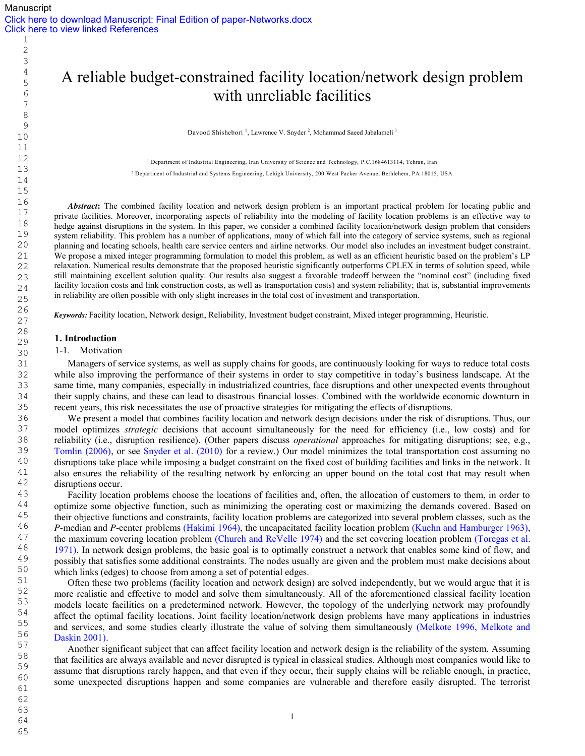# A reliable budget-constrained facility location/network design problem with unreliable facilities

Davood Shishebori<sup>1</sup>, Lawrence V. Snyder<sup>2</sup>, Mohammad Saeed Jabalameli<sup>1</sup>

<sup>1</sup> Department of Industrial Engineering, Iran University of Science and Technology, P.C.1684613114, Tehran, Iran

<sup>2</sup> Department of Industrial and Systems Engineering, Lehigh University, 200 West Packer Avenue, Bethlehem, PA 18015, USA

*Abstract***:** The combined facility location and network design problem is an important practical problem for locating public and private facilities. Moreover, incorporating aspects of reliability into the modeling of facility location problems is an effective way to hedge against disruptions in the system. In this paper, we consider a combined facility location/network design problem that considers system reliability. This problem has a number of applications, many of which fall into the category of service systems, such as regional planning and locating schools, health care service centers and airline networks. Our model also includes an investment budget constraint. We propose a mixed integer programming formulation to model this problem, as well as an efficient heuristic based on the problem's LP relaxation. Numerical results demonstrate that the proposed heuristic significantly outperforms CPLEX in terms of solution speed, while still maintaining excellent solution quality. Our results also suggest a favorable tradeoff between the "nominal cost" (including fixed facility location costs and link construction costs, as well as transportation costs) and system reliability; that is, substantial improvements in reliability are often possible with only slight increases in the total cost of investment and transportation.

*Keywords:* Facility location, Network design, Reliability, Investment budget constraint, Mixed integer programming, Heuristic.

# **1. Introduction**

## 1-1. Motivation

Managers of service systems, as well as supply chains for goods, are continuously looking for ways to reduce total costs while also improving the performance of their systems in order to stay competitive in today's business landscape. At the same time, many companies, especially in industrialized countries, face disruptions and other unexpected events throughout their supply chains, and these can lead to disastrous financial losses. Combined with the worldwide economic downturn in recent years, this risk necessitates the use of proactive strategies for mitigating the effects of disruptions.

We present a model that combines facility location and network design decisions under the risk of disruptions. Thus, our model optimizes *strategic* decisions that account simultaneously for the need for efficiency (i.e., low costs) and for reliability (i.e., disruption resilience). (Other papers discuss *operational* approaches for mitigating disruptions; see, e.g., Tomlin (2006), or see Snyder et al. (2010) for a review.) Our model minimizes the total transportation cost assuming no disruptions take place while imposing a budget constraint on the fixed cost of building facilities and links in the network. It also ensures the reliability of the resulting network by enforcing an upper bound on the total cost that may result when disruptions occur.

Facility location problems choose the locations of facilities and, often, the allocation of customers to them, in order to optimize some objective function, such as minimizing the operating cost or maximizing the demands covered. Based on their objective functions and constraints, facility location problems are categorized into several problem classes, such as the *P*-median and *P*-center problems (Hakimi 1964), the uncapacitated facility location problem (Kuehn and Hamburger 1963), the maximum covering location problem (Church and ReVelle 1974) and the set covering location problem (Toregas et al. 1971). In network design problems, the basic goal is to optimally construct a network that enables some kind of flow, and possibly that satisfies some additional constraints. The nodes usually are given and the problem must make decisions about which links (edges) to choose from among a set of potential edges.

Often these two problems (facility location and network design) are solved independently, but we would argue that it is more realistic and effective to model and solve them simultaneously. All of the aforementioned classical facility location models locate facilities on a predetermined network. However, the topology of the underlying network may profoundly affect the optimal facility locations. Joint facility location/network design problems have many applications in industries and services, and some studies clearly illustrate the value of solving them simultaneously (Melkote 1996, Melkote and Daskin 2001).

Another significant subject that can affect facility location and network design is the reliability of the system. Assuming that facilities are always available and never disrupted is typical in classical studies. Although most companies would like to assume that disruptions rarely happen, and that even if they occur, their supply chains will be reliable enough, in practice, some unexpected disruptions happen and some companies are vulnerable and therefore easily disrupted. The terrorist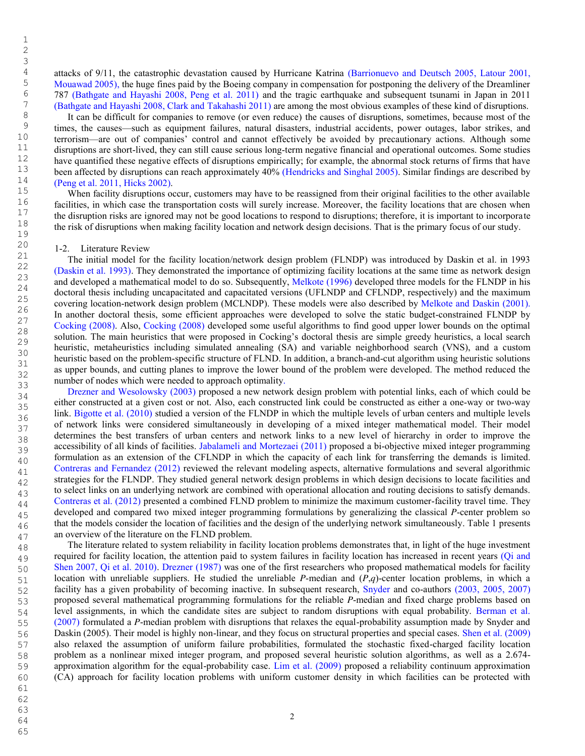attacks of 9/11, the catastrophic devastation caused by Hurricane Katrina (Barrionuevo and Deutsch 2005, Latour 2001, Mouawad 2005), the huge fines paid by the Boeing company in compensation for postponing the delivery of the Dreamliner 787 (Bathgate and Hayashi 2008, Peng et al. 2011) and the tragic earthquake and subsequent tsunami in Japan in 2011 (Bathgate and Hayashi 2008, Clark and Takahashi 2011) are among the most obvious examples of these kind of disruptions.

It can be difficult for companies to remove (or even reduce) the causes of disruptions, sometimes, because most of the times, the causes—such as equipment failures, natural disasters, industrial accidents, power outages, labor strikes, and terrorism—are out of companies' control and cannot effectively be avoided by precautionary actions. Although some disruptions are short-lived, they can still cause serious long-term negative financial and operational outcomes. Some studies have quantified these negative effects of disruptions empirically; for example, the abnormal stock returns of firms that have been affected by disruptions can reach approximately 40% (Hendricks and Singhal 2005). Similar findings are described by (Peng et al. 2011, Hicks 2002).

When facility disruptions occur, customers may have to be reassigned from their original facilities to the other available facilities, in which case the transportation costs will surely increase. Moreover, the facility locations that are chosen when the disruption risks are ignored may not be good locations to respond to disruptions; therefore, it is important to incorporate the risk of disruptions when making facility location and network design decisions. That is the primary focus of our study.

#### 1-2. Literature Review

The initial model for the facility location/network design problem (FLNDP) was introduced by Daskin et al. in 1993 (Daskin et al. 1993). They demonstrated the importance of optimizing facility locations at the same time as network design and developed a mathematical model to do so. Subsequently, Melkote (1996) developed three models for the FLNDP in his doctoral thesis including uncapacitated and capacitated versions (UFLNDP and CFLNDP, respectively) and the maximum covering location-network design problem (MCLNDP). These models were also described by Melkote and Daskin (2001). In another doctoral thesis, some efficient approaches were developed to solve the static budget-constrained FLNDP by Cocking (2008). Also, Cocking (2008) developed some useful algorithms to find good upper lower bounds on the optimal solution. The main heuristics that were proposed in Cocking's doctoral thesis are simple greedy heuristics, a local search heuristic, metaheuristics including simulated annealing (SA) and variable neighborhood search (VNS), and a custom heuristic based on the problem-specific structure of FLND. In addition, a branch-and-cut algorithm using heuristic solutions as upper bounds, and cutting planes to improve the lower bound of the problem were developed. The method reduced the number of nodes which were needed to approach optimality.

Drezner and Wesolowsky (2003) proposed a new network design problem with potential links, each of which could be either constructed at a given cost or not. Also, each constructed link could be constructed as either a one-way or two-way link. Bigotte et al. (2010) studied a version of the FLNDP in which the multiple levels of urban centers and multiple levels of network links were considered simultaneously in developing of a mixed integer mathematical model. Their model determines the best transfers of urban centers and network links to a new level of hierarchy in order to improve the accessibility of all kinds of facilities. Jabalameli and Mortezaei (2011) proposed a bi-objective mixed integer programming formulation as an extension of the CFLNDP in which the capacity of each link for transferring the demands is limited. Contreras and Fernandez (2012) reviewed the relevant modeling aspects, alternative formulations and several algorithmic strategies for the FLNDP. They studied general network design problems in which design decisions to locate facilities and to select links on an underlying network are combined with operational allocation and routing decisions to satisfy demands. Contreras et al. (2012) presented a combined FLND problem to minimize the maximum customer-facility travel time. They developed and compared two mixed integer programming formulations by generalizing the classical *P*-center problem so that the models consider the location of facilities and the design of the underlying network simultaneously. Table 1 presents an overview of the literature on the FLND problem.

The literature related to system reliability in facility location problems demonstrates that, in light of the huge investment required for facility location, the attention paid to system failures in facility location has increased in recent years (Qi and Shen 2007, Qi et al. 2010). Drezner (1987) was one of the first researchers who proposed mathematical models for facility location with unreliable suppliers. He studied the unreliable *P*-median and (*P*,*q*)-center location problems, in which a facility has a given probability of becoming inactive. In subsequent research, Snyder and co-authors (2003, 2005, 2007) proposed several mathematical programming formulations for the reliable *P*-median and fixed charge problems based on level assignments, in which the candidate sites are subject to random disruptions with equal probability. Berman et al. (2007) formulated a *P*-median problem with disruptions that relaxes the equal-probability assumption made by Snyder and Daskin (2005). Their model is highly non-linear, and they focus on structural properties and special cases. Shen et al. (2009) also relaxed the assumption of uniform failure probabilities, formulated the stochastic fixed-charged facility location problem as a nonlinear mixed integer program, and proposed several heuristic solution algorithms, as well as a 2.674 approximation algorithm for the equal-probability case. Lim et al. (2009) proposed a reliability continuum approximation (CA) approach for facility location problems with uniform customer density in which facilities can be protected with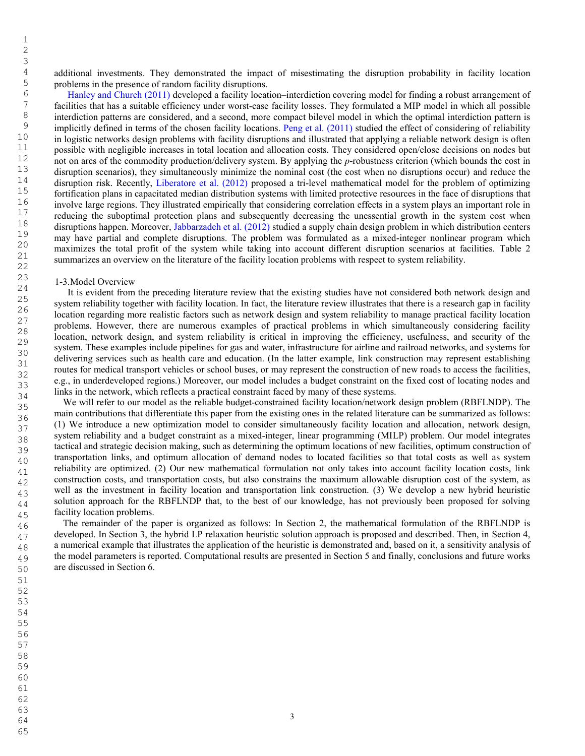additional investments. They demonstrated the impact of misestimating the disruption probability in facility location problems in the presence of random facility disruptions.

Hanley and Church (2011) developed a facility location–interdiction covering model for finding a robust arrangement of facilities that has a suitable efficiency under worst-case facility losses. They formulated a MIP model in which all possible interdiction patterns are considered, and a second, more compact bilevel model in which the optimal interdiction pattern is implicitly defined in terms of the chosen facility locations. Peng et al.  $(2011)$  studied the effect of considering of reliability in logistic networks design problems with facility disruptions and illustrated that applying a reliable network design is often possible with negligible increases in total location and allocation costs. They considered open/close decisions on nodes but not on arcs of the commodity production/delivery system. By applying the *p*-robustness criterion (which bounds the cost in disruption scenarios), they simultaneously minimize the nominal cost (the cost when no disruptions occur) and reduce the disruption risk. Recently, Liberatore et al. (2012) proposed a tri-level mathematical model for the problem of optimizing fortification plans in capacitated median distribution systems with limited protective resources in the face of disruptions that involve large regions. They illustrated empirically that considering correlation effects in a system plays an important role in reducing the suboptimal protection plans and subsequently decreasing the unessential growth in the system cost when disruptions happen. Moreover, Jabbarzadeh et al. (2012) studied a supply chain design problem in which distribution centers may have partial and complete disruptions. The problem was formulated as a mixed-integer nonlinear program which maximizes the total profit of the system while taking into account different disruption scenarios at facilities. Table 2 summarizes an overview on the literature of the facility location problems with respect to system reliability.

#### 1-3.Model Overview

It is evident from the preceding literature review that the existing studies have not considered both network design and system reliability together with facility location. In fact, the literature review illustrates that there is a research gap in facility location regarding more realistic factors such as network design and system reliability to manage practical facility location problems. However, there are numerous examples of practical problems in which simultaneously considering facility location, network design, and system reliability is critical in improving the efficiency, usefulness, and security of the system. These examples include pipelines for gas and water, infrastructure for airline and railroad networks, and systems for delivering services such as health care and education. (In the latter example, link construction may represent establishing routes for medical transport vehicles or school buses, or may represent the construction of new roads to access the facilities, e.g., in underdeveloped regions.) Moreover, our model includes a budget constraint on the fixed cost of locating nodes and links in the network, which reflects a practical constraint faced by many of these systems.

We will refer to our model as the reliable budget-constrained facility location/network design problem (RBFLNDP). The main contributions that differentiate this paper from the existing ones in the related literature can be summarized as follows: (1) We introduce a new optimization model to consider simultaneously facility location and allocation, network design, system reliability and a budget constraint as a mixed-integer, linear programming (MILP) problem. Our model integrates tactical and strategic decision making, such as determining the optimum locations of new facilities, optimum construction of transportation links, and optimum allocation of demand nodes to located facilities so that total costs as well as system reliability are optimized. (2) Our new mathematical formulation not only takes into account facility location costs, link construction costs, and transportation costs, but also constrains the maximum allowable disruption cost of the system, as well as the investment in facility location and transportation link construction. (3) We develop a new hybrid heuristic solution approach for the RBFLNDP that, to the best of our knowledge, has not previously been proposed for solving facility location problems.

The remainder of the paper is organized as follows: In Section 2, the mathematical formulation of the RBFLNDP is developed. In Section 3, the hybrid LP relaxation heuristic solution approach is proposed and described. Then, in Section 4, a numerical example that illustrates the application of the heuristic is demonstrated and, based on it, a sensitivity analysis of the model parameters is reported. Computational results are presented in Section 5 and finally, conclusions and future works are discussed in Section 6.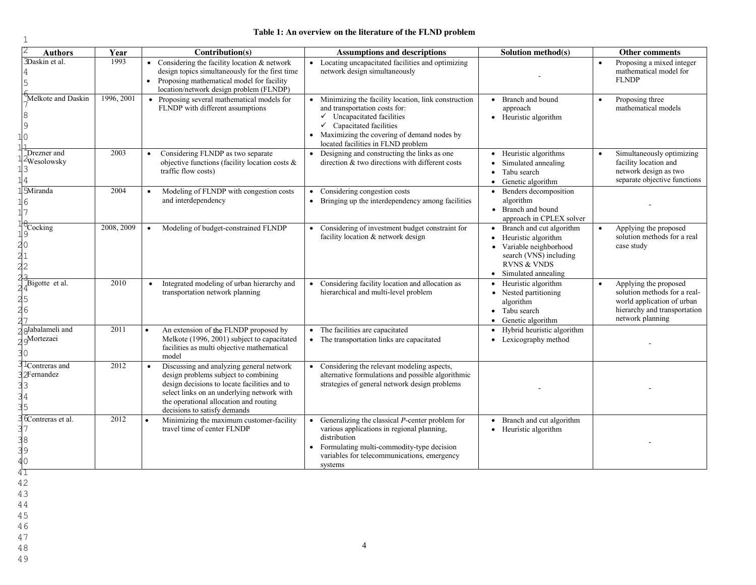| Table 1: All overview on the interature of the FLIND problem |            |                                                                                                                                                                                                                                                                       |                                                                                                                                                                                                                                                              |                                                                                                                                                                  |                                                                                                                                         |  |  |  |  |  |
|--------------------------------------------------------------|------------|-----------------------------------------------------------------------------------------------------------------------------------------------------------------------------------------------------------------------------------------------------------------------|--------------------------------------------------------------------------------------------------------------------------------------------------------------------------------------------------------------------------------------------------------------|------------------------------------------------------------------------------------------------------------------------------------------------------------------|-----------------------------------------------------------------------------------------------------------------------------------------|--|--|--|--|--|
| <b>Authors</b>                                               | Year       | Contribution(s)                                                                                                                                                                                                                                                       | <b>Assumptions and descriptions</b>                                                                                                                                                                                                                          | Solution method(s)                                                                                                                                               | <b>Other comments</b>                                                                                                                   |  |  |  |  |  |
| 3Daskin et al.                                               | 1993       | Considering the facility location & network<br>design topics simultaneously for the first time<br>Proposing mathematical model for facility<br>location/network design problem (FLNDP)                                                                                | Locating uncapacitated facilities and optimizing<br>network design simultaneously                                                                                                                                                                            |                                                                                                                                                                  | Proposing a mixed integer<br>mathematical model for<br><b>FLNDP</b>                                                                     |  |  |  |  |  |
| Melkote and Daskin                                           | 1996, 2001 | • Proposing several mathematical models for<br>FLNDP with different assumptions                                                                                                                                                                                       | • Minimizing the facility location, link construction<br>and transportation costs for:<br>$\checkmark$ Uncapacitated facilities<br>$\checkmark$ Capacitated facilities<br>• Maximizing the covering of demand nodes by<br>located facilities in FLND problem | Branch and bound<br>$\bullet$<br>approach<br>Heuristic algorithm<br>$\bullet$                                                                                    | Proposing three<br>$\bullet$<br>mathematical models                                                                                     |  |  |  |  |  |
| Drezner and<br>Wesolowsky                                    | 2003       | Considering FLNDP as two separate<br>$\bullet$<br>objective functions (facility location costs $\&$<br>traffic flow costs)                                                                                                                                            | Designing and constructing the links as one<br>$\bullet$<br>direction & two directions with different costs                                                                                                                                                  | Heuristic algorithms<br>$\bullet$<br>Simulated annealing<br>Tabu search<br>$\bullet$<br>Genetic algorithm<br>$\bullet$                                           | Simultaneously optimizing<br>facility location and<br>network design as two<br>separate objective functions                             |  |  |  |  |  |
| 5Miranda<br>6                                                | 2004       | Modeling of FLNDP with congestion costs<br>$\bullet$<br>and interdependency                                                                                                                                                                                           | Considering congestion costs<br>$\bullet$<br>Bringing up the interdependency among facilities<br>$\bullet$                                                                                                                                                   | Benders decomposition<br>$\bullet$<br>algorithm<br>Branch and bound<br>$\bullet$<br>approach in CPLEX solver                                                     |                                                                                                                                         |  |  |  |  |  |
| Cocking<br>$20$<br>$21$<br>$22$                              | 2008, 2009 | Modeling of budget-constrained FLNDP<br>$\bullet$                                                                                                                                                                                                                     | Considering of investment budget constraint for<br>facility location & network design                                                                                                                                                                        | Branch and cut algorithm<br>Heuristic algorithm<br>Variable neighborhood<br>search (VNS) including<br><b>RVNS &amp; VNDS</b><br>Simulated annealing<br>$\bullet$ | Applying the proposed<br>solution methods for a real<br>case study                                                                      |  |  |  |  |  |
| $\frac{4}{3}$ Bigotte et al.<br>25<br>26                     | 2010       | Integrated modeling of urban hierarchy and<br>$\bullet$<br>transportation network planning                                                                                                                                                                            | Considering facility location and allocation as<br>$\bullet$<br>hierarchical and multi-level problem                                                                                                                                                         | Heuristic algorithm<br>Nested partitioning<br>$\bullet$<br>algorithm<br>Tabu search<br>$\bullet$<br>Genetic algorithm<br>$\bullet$                               | Applying the proposed<br>solution methods for a real-<br>world application of urban<br>hierarchy and transportation<br>network planning |  |  |  |  |  |
| sJabalameli and<br><sub>Q</sub> Mortezaei                    | 2011       | An extension of the FLNDP proposed by<br>$\bullet$<br>Melkote (1996, 2001) subject to capacitated<br>facilities as multi objective mathematical<br>model                                                                                                              | The facilities are capacitated<br>• The transportation links are capacitated                                                                                                                                                                                 | Hybrid heuristic algorithm<br>Lexicography method                                                                                                                |                                                                                                                                         |  |  |  |  |  |
| <sup>1</sup> Contreras and<br>2Fernandez<br>3<br>5           | 2012       | Discussing and analyzing general network<br>$\bullet$<br>design problems subject to combining<br>design decisions to locate facilities and to<br>select links on an underlying network with<br>the operational allocation and routing<br>decisions to satisfy demands | Considering the relevant modeling aspects,<br>alternative formulations and possible algorithmic<br>strategies of general network design problems                                                                                                             |                                                                                                                                                                  |                                                                                                                                         |  |  |  |  |  |
| Contreras et al.<br>38<br>39<br>40<br>$\overline{41}$        | 2012       | Minimizing the maximum customer-facility<br>$\bullet$<br>travel time of center FLNDP                                                                                                                                                                                  | • Generalizing the classical $P$ -center problem for<br>various applications in regional planning,<br>distribution<br>• Formulating multi-commodity-type decision<br>variables for telecommunications, emergency<br>systems                                  | Branch and cut algorithm<br>٠<br>Heuristic algorithm                                                                                                             |                                                                                                                                         |  |  |  |  |  |

- 42
- 43
- 44
- 45
- 46

49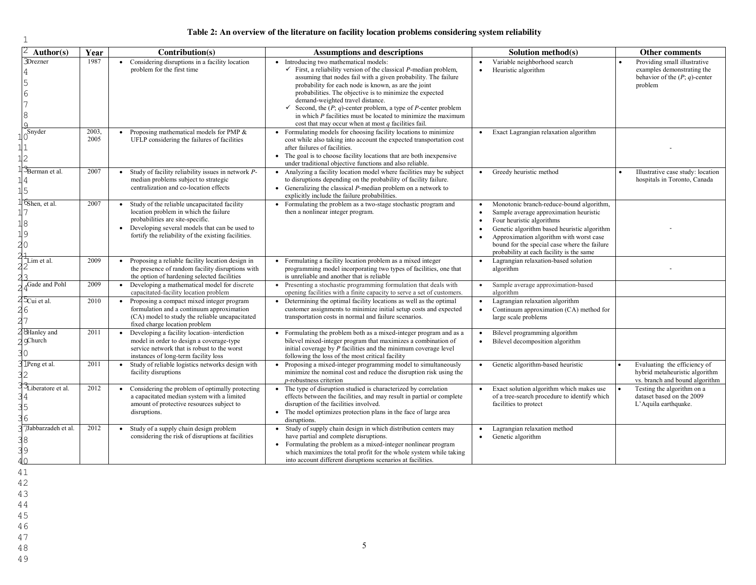| Table 2: All overview of the inerature on facinty location problems considering system renability |               |                                                                                                                                                                                                                                                |                                                                                                                                                                                                                                                                                                                                                                                                                                                                                                                                                          |                                                                                                                                                                                                                                                                                                                         |                                                                                                           |  |  |  |  |
|---------------------------------------------------------------------------------------------------|---------------|------------------------------------------------------------------------------------------------------------------------------------------------------------------------------------------------------------------------------------------------|----------------------------------------------------------------------------------------------------------------------------------------------------------------------------------------------------------------------------------------------------------------------------------------------------------------------------------------------------------------------------------------------------------------------------------------------------------------------------------------------------------------------------------------------------------|-------------------------------------------------------------------------------------------------------------------------------------------------------------------------------------------------------------------------------------------------------------------------------------------------------------------------|-----------------------------------------------------------------------------------------------------------|--|--|--|--|
| Author(s)                                                                                         | Year          | Contribution(s)                                                                                                                                                                                                                                | <b>Assumptions and descriptions</b>                                                                                                                                                                                                                                                                                                                                                                                                                                                                                                                      | Solution method(s)                                                                                                                                                                                                                                                                                                      | Other comments                                                                                            |  |  |  |  |
| 3Drezner<br>8                                                                                     | 1987          | Considering disruptions in a facility location<br>problem for the first time                                                                                                                                                                   | • Introducing two mathematical models:<br>$\checkmark$ First, a reliability version of the classical <i>P</i> -median problem,<br>assuming that nodes fail with a given probability. The failure<br>probability for each node is known, as are the joint<br>probabilities. The objective is to minimize the expected<br>demand-weighted travel distance.<br>Second, the $(P; q)$ -center problem, a type of P-center problem<br>in which $P$ facilities must be located to minimize the maximum<br>cost that may occur when at most $q$ facilities fail. | Variable neighborhood search<br>Heuristic algorithm<br>$\bullet$                                                                                                                                                                                                                                                        | Providing small illustrative<br>examples demonstrating the<br>behavior of the $(P; q)$ -center<br>problem |  |  |  |  |
| Snyder                                                                                            | 2003.<br>2005 | Proposing mathematical models for PMP &<br>$\bullet$<br>UFLP considering the failures of facilities                                                                                                                                            | • Formulating models for choosing facility locations to minimize<br>cost while also taking into account the expected transportation cost<br>after failures of facilities.<br>• The goal is to choose facility locations that are both inexpensive<br>under traditional objective functions and also reliable.                                                                                                                                                                                                                                            | Exact Lagrangian relaxation algorithm<br>$\bullet$                                                                                                                                                                                                                                                                      |                                                                                                           |  |  |  |  |
| ≯Berman et al.                                                                                    | 2007          | Study of facility reliability issues in network P-<br>median problems subject to strategic<br>centralization and co-location effects                                                                                                           | Analyzing a facility location model where facilities may be subject<br>to disruptions depending on the probability of facility failure.<br>• Generalizing the classical $P$ -median problem on a network to<br>explicitly include the failure probabilities.                                                                                                                                                                                                                                                                                             | Greedy heuristic method                                                                                                                                                                                                                                                                                                 | Illustrative case study: location<br>hospitals in Toronto, Canada                                         |  |  |  |  |
| <sup>6</sup> Shen, et al.                                                                         | 2007          | Study of the reliable uncapacitated facility<br>$\bullet$<br>location problem in which the failure<br>probabilities are site-specific.<br>Developing several models that can be used to<br>fortify the reliability of the existing facilities. | • Formulating the problem as a two-stage stochastic program and<br>then a nonlinear integer program.                                                                                                                                                                                                                                                                                                                                                                                                                                                     | Monotonic branch-reduce-bound algorithm,<br>٠<br>Sample average approximation heuristic<br>Four heuristic algorithms<br>$\bullet$<br>Genetic algorithm based heuristic algorithm<br>Approximation algorithm with worst case<br>bound for the special case where the failure<br>probability at each facility is the same |                                                                                                           |  |  |  |  |
| ⊤Lim et al.                                                                                       | 2009          | Proposing a reliable facility location design in<br>$\bullet$<br>the presence of random facility disruptions with<br>the option of hardening selected facilities                                                                               | • Formulating a facility location problem as a mixed integer<br>programming model incorporating two types of facilities, one that<br>is unreliable and another that is reliable                                                                                                                                                                                                                                                                                                                                                                          | Lagrangian relaxation-based solution<br>$\bullet$<br>algorithm                                                                                                                                                                                                                                                          |                                                                                                           |  |  |  |  |
| 4Gade and Pohl                                                                                    | 2009          | • Developing a mathematical model for discrete<br>capacitated-facility location problem                                                                                                                                                        | • Presenting a stochastic programming formulation that deals with<br>opening facilities with a finite capacity to serve a set of customers.                                                                                                                                                                                                                                                                                                                                                                                                              | Sample average approximation-based<br>$\bullet$<br>algorithm                                                                                                                                                                                                                                                            |                                                                                                           |  |  |  |  |
| Cui et al.<br>6                                                                                   | 2010          | Proposing a compact mixed integer program<br>$\bullet$<br>formulation and a continuum approximation<br>(CA) model to study the reliable uncapacitated<br>fixed charge location problem                                                         | Determining the optimal facility locations as well as the optimal<br>customer assignments to minimize initial setup costs and expected<br>transportation costs in normal and failure scenarios.                                                                                                                                                                                                                                                                                                                                                          | Lagrangian relaxation algorithm<br>$\bullet$<br>Continuum approximation (CA) method for<br>large scale problems                                                                                                                                                                                                         |                                                                                                           |  |  |  |  |
| <b>BHanley</b> and<br>cChurch                                                                     | 2011          | Developing a facility location-interdiction<br>$\bullet$<br>model in order to design a coverage-type<br>service network that is robust to the worst<br>instances of long-term facility loss                                                    | • Formulating the problem both as a mixed-integer program and as a<br>bilevel mixed-integer program that maximizes a combination of<br>initial coverage by $P$ facilities and the minimum coverage level<br>following the loss of the most critical facility                                                                                                                                                                                                                                                                                             | Bilevel programming algorithm<br>$\bullet$<br>Bilevel decomposition algorithm                                                                                                                                                                                                                                           |                                                                                                           |  |  |  |  |
| Peng et al.                                                                                       | 2011          | Study of reliable logistics networks design with<br>facility disruptions                                                                                                                                                                       | Proposing a mixed-integer programming model to simultaneously<br>minimize the nominal cost and reduce the disruption risk using the<br>$p$ -robustness criterion                                                                                                                                                                                                                                                                                                                                                                                         | Genetic algorithm-based heuristic<br>$\bullet$                                                                                                                                                                                                                                                                          | Evaluating the efficiency of<br>hybrid metaheuristic algorithm<br>vs. branch and bound algorithm          |  |  |  |  |
| Liberatore et al.<br>6                                                                            | 2012          | Considering the problem of optimally protecting<br>a capacitated median system with a limited<br>amount of protective resources subject to<br>disruptions.                                                                                     | The type of disruption studied is characterized by correlation<br>effects between the facilities, and may result in partial or complete<br>disruption of the facilities involved.<br>• The model optimizes protection plans in the face of large area<br>disruptions.                                                                                                                                                                                                                                                                                    | Exact solution algorithm which makes use<br>of a tree-search procedure to identify which<br>facilities to protect                                                                                                                                                                                                       | Testing the algorithm on a<br>dataset based on the 2009<br>L'Aquila earthquake.                           |  |  |  |  |
| 7Jabbarzadeh et al.<br>18<br>39<br>40                                                             | 2012          | Study of a supply chain design problem<br>considering the risk of disruptions at facilities                                                                                                                                                    | Study of supply chain design in which distribution centers may<br>have partial and complete disruptions.<br>Formulating the problem as a mixed-integer nonlinear program<br>which maximizes the total profit for the whole system while taking<br>into account different disruptions scenarios at facilities.                                                                                                                                                                                                                                            | Lagrangian relaxation method<br>٠<br>• Genetic algorithm                                                                                                                                                                                                                                                                |                                                                                                           |  |  |  |  |

- 41
- 42 43
- 44
- 45
- 46

48

49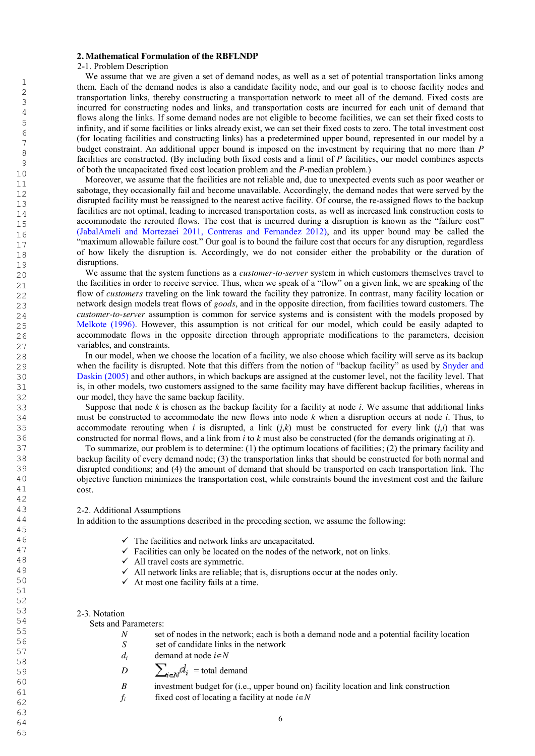# **2. Mathematical Formulation of the RBFLNDP**

# 2-1. Problem Description

We assume that we are given a set of demand nodes, as well as a set of potential transportation links among them. Each of the demand nodes is also a candidate facility node, and our goal is to choose facility nodes and transportation links, thereby constructing a transportation network to meet all of the demand. Fixed costs are incurred for constructing nodes and links, and transportation costs are incurred for each unit of demand that flows along the links. If some demand nodes are not eligible to become facilities, we can set their fixed costs to infinity, and if some facilities or links already exist, we can set their fixed costs to zero. The total investment cost (for locating facilities and constructing links) has a predetermined upper bound, represented in our model by a budget constraint. An additional upper bound is imposed on the investment by requiring that no more than *P* facilities are constructed. (By including both fixed costs and a limit of *P* facilities, our model combines aspects of both the uncapacitated fixed cost location problem and the *P*-median problem.)

Moreover, we assume that the facilities are not reliable and, due to unexpected events such as poor weather or sabotage, they occasionally fail and become unavailable. Accordingly, the demand nodes that were served by the disrupted facility must be reassigned to the nearest active facility. Of course, the re-assigned flows to the backup facilities are not optimal, leading to increased transportation costs, as well as increased link construction costs to accommodate the rerouted flows. The cost that is incurred during a disruption is known as the "failure cost" (JabalAmeli and Mortezaei 2011, Contreras and Fernandez 2012), and its upper bound may be called the "maximum allowable failure cost." Our goal is to bound the failure cost that occurs for any disruption, regardless of how likely the disruption is. Accordingly, we do not consider either the probability or the duration of disruptions.

We assume that the system functions as a *customer-to-server* system in which customers themselves travel to the facilities in order to receive service. Thus, when we speak of a "flow" on a given link, we are speaking of the flow of *customers* traveling on the link toward the facility they patronize. In contrast, many facility location or network design models treat flows of *goods*, and in the opposite direction, from facilities toward customers. The *customer-to-server* assumption is common for service systems and is consistent with the models proposed by Melkote (1996). However, this assumption is not critical for our model, which could be easily adapted to accommodate flows in the opposite direction through appropriate modifications to the parameters, decision variables, and constraints.

In our model, when we choose the location of a facility, we also choose which facility will serve as its backup when the facility is disrupted. Note that this differs from the notion of "backup facility" as used by Snyder and Daskin (2005) and other authors, in which backups are assigned at the customer level, not the facility level. That is, in other models, two customers assigned to the same facility may have different backup facilities, whereas in our model, they have the same backup facility.

Suppose that node *k* is chosen as the backup facility for a facility at node *i*. We assume that additional links must be constructed to accommodate the new flows into node *k* when a disruption occurs at node *i*. Thus, to accommodate rerouting when *i* is disrupted, a link  $(j, k)$  must be constructed for every link  $(j, i)$  that was constructed for normal flows, and a link from *i* to *k* must also be constructed (for the demands originating at *i*).

To summarize, our problem is to determine: (1) the optimum locations of facilities; (2) the primary facility and backup facility of every demand node; (3) the transportation links that should be constructed for both normal and disrupted conditions; and (4) the amount of demand that should be transported on each transportation link. The objective function minimizes the transportation cost, while constraints bound the investment cost and the failure cost.

#### 2-2. Additional Assumptions

In addition to the assumptions described in the preceding section, we assume the following:

- $\checkmark$  The facilities and network links are uncapacitated.
- $\checkmark$  Facilities can only be located on the nodes of the network, not on links.
- $\checkmark$  All travel costs are symmetric.
- $\checkmark$  All network links are reliable; that is, disruptions occur at the nodes only.
- $\checkmark$  At most one facility fails at a time.

# 2-3. Notation

Sets and Parameters:

- *N* set of nodes in the network; each is both a demand node and a potential facility location *S* set of candidate links in the network
- *d<sub>i</sub>* demand at node  $i \in N$
- *D*  $\sum_{i \in M} d_i$  = total demand
- *B* investment budget for (i.e., upper bound on) facility location and link construction
- *f<sub>i</sub>* fixed cost of locating a facility at node  $i \in N$ 
	- 6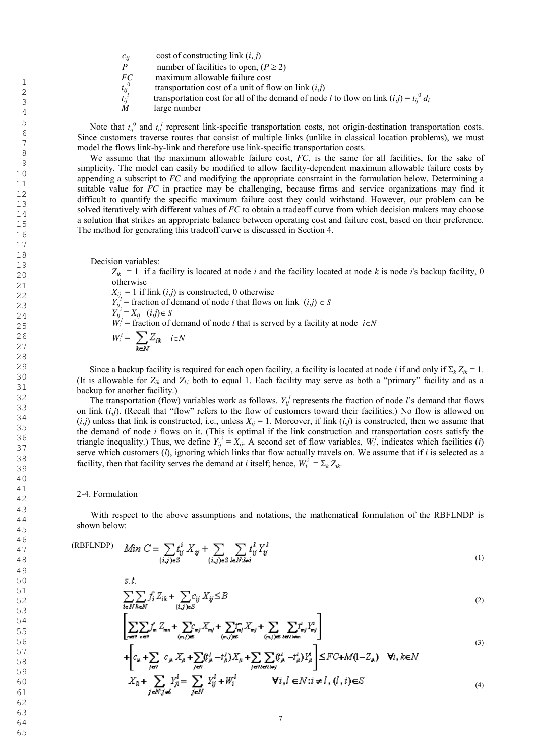Note that  $t_{ij}^0$  and  $t_{ij}^l$  represent link-specific transportation costs, not origin-destination transportation costs. Since customers traverse routes that consist of multiple links (unlike in classical location problems), we must model the flows link-by-link and therefore use link-specific transportation costs.

We assume that the maximum allowable failure cost, *FC*, is the same for all facilities, for the sake of simplicity. The model can easily be modified to allow facility-dependent maximum allowable failure costs by appending a subscript to *FC* and modifying the appropriate constraint in the formulation below. Determining a suitable value for *FC* in practice may be challenging, because firms and service organizations may find it difficult to quantify the specific maximum failure cost they could withstand. However, our problem can be solved iteratively with different values of *FC* to obtain a tradeoff curve from which decision makers may choose a solution that strikes an appropriate balance between operating cost and failure cost, based on their preference. The method for generating this tradeoff curve is discussed in Section 4.

Decision variables:

 $Z_{ik}$  = 1 if a facility is located at node *i* and the facility located at node *k* is node *i*'s backup facility, 0 otherwise

 $X_{ij}$  = 1 if link  $(i,j)$  is constructed, 0 otherwise

 $Y_{ij}^{\dagger}$  = fraction of demand of node *l* that flows on link  $(i,j) \in S$ 

 $Y_{ij}^i = X_{ij}$   $(i,j) \in S$ 

 $W_i^l$  = fraction of demand of node *l* that is served by a facility at node *i*  $\in$  *N* 

$$
W_i^i = \sum_{k \in M} Z_{ik} \quad i \in N
$$

Since a backup facility is required for each open facility, a facility is located at node *i* if and only if  $\Sigma_k Z_{ik} = 1$ . (It is allowable for  $Z_{ik}$  and  $Z_{ki}$  both to equal 1. Each facility may serve as both a "primary" facility and as a backup for another facility.)

The transportation (flow) variables work as follows.  $Y_{ij}^l$  represents the fraction of node *l*'s demand that flows on link  $(i,j)$ . (Recall that "flow" refers to the flow of customers toward their facilities.) No flow is allowed on  $(i,j)$  unless that link is constructed, i.e., unless  $X_{ij} = 1$ . Moreover, if link  $(i,j)$  is constructed, then we assume that the demand of node *i* flows on it. (This is optimal if the link construction and transportation costs satisfy the triangle inequality.) Thus, we define  $Y_{ij}^i = X_{ij}$ . A second set of flow variables,  $W_i^l$ , indicates which facilities (*i*) serve which customers (*l*), ignoring which links that flow actually travels on. We assume that if *i* is selected as a facility, then that facility serves the demand at *i* itself; hence,  $W_i^i = \sum_k Z_{ik}$ .

## 2-4. Formulation

 $s.t.$ 

With respect to the above assumptions and notations, the mathematical formulation of the RBFLNDP is shown below:

(RBFLNDP) Min 
$$
C = \sum_{\{i,j\} \in S} t_{ij}^i X_{ij} + \sum_{\{i,j\} \in S} \sum_{l \in N: l \neq i} t_{ij}^l Y_{ij}^l
$$
 (1)

$$
\sum_{i \in N} \sum_{k \in N} f_i Z_{ik} + \sum_{(i,j) \in S} c_{ij} X_{ij} \le B
$$
\n<sup>(2)</sup>

$$
\left[ \sum_{m \in V} \sum_{n \in V} f_m Z_{mn} + \sum_{(m,j) \in S} f_{mj} X_{mj} + \sum_{(m,j) \in S} f_{mj}^m X_{mj} + \sum_{(m,j) \in S} \sum_{l \in V, k \neq m} f_{mj}^l Y_{mj}^l \right] \tag{3}
$$

$$
+\left[c_{\mu} + \sum_{j \neq v} c_{\mu} X_{\mu} + \sum_{j \neq v} (\ell_{\mu}^{j} - t_{\mu}^{j}) X_{\mu} + \sum_{j \neq v \text{ terms}} \sum_{j \neq \mu} (\ell_{\mu}^{i} - t_{\mu}^{i}) Y_{\mu}^{k}\right] \leq FC + M(1 - Z_{\mu}) \quad \forall i, k \in \mathbb{N}
$$
  

$$
X_{\mu} + \sum_{j \neq N; j \neq k} Y_{ji}^{i} = \sum_{j \neq N} Y_{ij}^{i} + W_{i}^{i} \qquad \forall i, l \in \mathbb{N} : i \neq l, (l, i) \in \mathbb{S}
$$
 (4)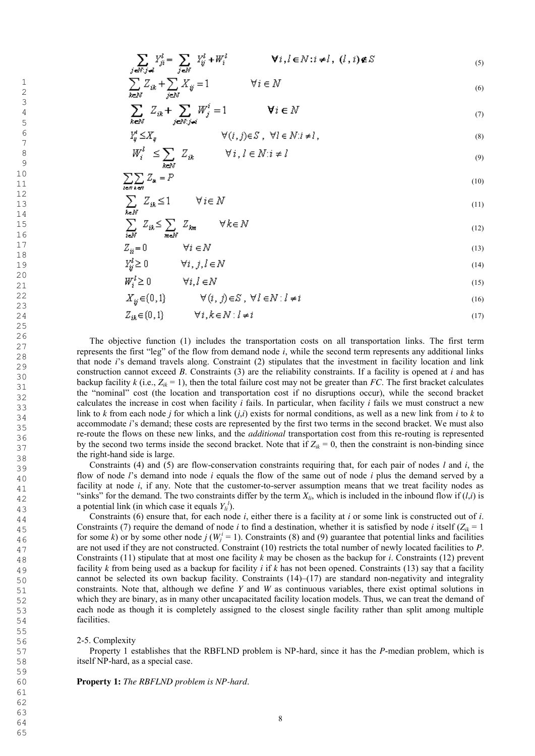$$
Y_{ji}^l = \sum_{i \in M} Y_{ij}^l + W_i^l \qquad \qquad \mathbf{\Psi} i, l \in N : i \neq l, \ (l, i) \notin S \tag{5}
$$

$$
\sum_{i=1}^{n} Z_{ik} + \sum_{j \in N} X_{ij} = 1 \qquad \forall i \in N
$$
\n<sup>(6)</sup>

$$
\sum_{k \in N} Z_{ik} + \sum_{j \in N, j \neq i} W_j^i = 1 \qquad \qquad \forall i \in N \tag{7}
$$

$$
Y^t_y \leq X_y \qquad \qquad \forall (i,j) \in S \ , \ \forall l \in N : i \neq l \ , \tag{8}
$$

$$
W_i^l \le \sum_{k \in \mathbb{N}} Z_{ik} \qquad \forall i, l \in \mathbb{N} : i \ne l
$$
\n<sup>(9)</sup>

$$
\sum_{\text{len } k \text{ only } k} Z_{\mathbf{a}} = P
$$
\n
$$
\sum_{k \in N} Z_{ik} \le 1 \qquad \forall i \in N
$$
\n
$$
\sum_{k \in N} Z_{ik} \le \sum_{k} Z_{ik} \qquad (11)
$$

$$
\sum_{i} Z_{ik} \le 1 \qquad \forall i \in N \tag{11}
$$

$$
\sum_{k \in \mathbb{N}} Z_{ik} \le \sum_{m \in \mathbb{N}} Z_{km} \qquad \forall k \in \mathbb{N} \tag{12}
$$

$$
0 \t\t \forall i \in N
$$
 (13)

$$
Y_{ij}^{l} \ge 0 \t\t \forall i, j, l \in \mathbb{N}
$$
\n
$$
(14)
$$

$$
W_i^l \ge 0 \t\t \forall i, l \in \mathbb{N}
$$
\n<sup>(15)</sup>

$$
X_{ij} \in \{0, 1\} \qquad \forall (i, j) \in S \,, \,\forall l \in N : l \neq i \tag{16}
$$

$$
i_k \in \{0, 1\} \qquad \forall i, k \in N : l \neq i \tag{17}
$$

The objective function (1) includes the transportation costs on all transportation links. The first term represents the first "leg" of the flow from demand node *i*, while the second term represents any additional links that node *i*'s demand travels along. Constraint (2) stipulates that the investment in facility location and link construction cannot exceed *B*. Constraints (3) are the reliability constraints. If a facility is opened at *i* and has backup facility  $k$  (i.e.,  $Z_{ik} = 1$ ), then the total failure cost may not be greater than *FC*. The first bracket calculates the "nominal" cost (the location and transportation cost if no disruptions occur), while the second bracket calculates the increase in cost when facility *i* fails. In particular, when facility *i* fails we must construct a new link to *k* from each node *j* for which a link (*j*,*i*) exists for normal conditions, as well as a new link from *i* to *k* to accommodate *i*'s demand; these costs are represented by the first two terms in the second bracket. We must also re-route the flows on these new links, and the *additional* transportation cost from this re-routing is represented by the second two terms inside the second bracket. Note that if  $Z_{ik} = 0$ , then the constraint is non-binding since the right-hand side is large.

Constraints (4) and (5) are flow-conservation constraints requiring that, for each pair of nodes *l* and *i*, the flow of node *l*'s demand into node *i* equals the flow of the same out of node *i* plus the demand served by a facility at node *i*, if any. Note that the customer-to-server assumption means that we treat facility nodes as "sinks" for the demand. The two constraints differ by the term  $X_{li}$ , which is included in the inbound flow if  $(l,i)$  is a potential link (in which case it equals  $Y_{li}^{\,l}$ ).

Constraints (6) ensure that, for each node *i*, either there is a facility at *i* or some link is constructed out of *i*. Constraints (7) require the demand of node *i* to find a destination, whether it is satisfied by node *i* itself ( $Z_{ik} = 1$ for some *k*) or by some other node  $j$  ( $W_j^i = 1$ ). Constraints (8) and (9) guarantee that potential links and facilities are not used if they are not constructed. Constraint (10) restricts the total number of newly located facilities to *P*. Constraints (11) stipulate that at most one facility *k* may be chosen as the backup for *i*. Constraints (12) prevent facility *k* from being used as a backup for facility *i* if *k* has not been opened. Constraints (13) say that a facility cannot be selected its own backup facility. Constraints (14)–(17) are standard non-negativity and integrality constraints. Note that, although we define *Y* and *W* as continuous variables, there exist optimal solutions in which they are binary, as in many other uncapacitated facility location models. Thus, we can treat the demand of each node as though it is completely assigned to the closest single facility rather than split among multiple facilities.

#### 2-5. Complexity

Z

Property 1 establishes that the RBFLND problem is NP-hard, since it has the *P*-median problem, which is itself NP-hard, as a special case.

**Property 1:** *The RBFLND problem is NP-hard*.

1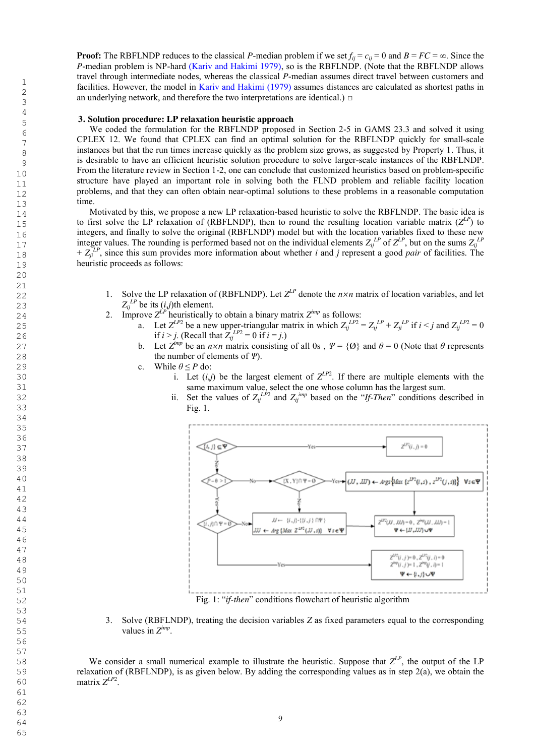**Proof:** The RBFLNDP reduces to the classical *P*-median problem if we set  $f_{ij} = c_{ij} = 0$  and  $B = FC = \infty$ . Since the *P*-median problem is NP-hard (Kariv and Hakimi 1979), so is the RBFLNDP. (Note that the RBFLNDP allows travel through intermediate nodes, whereas the classical *P*-median assumes direct travel between customers and facilities. However, the model in Kariv and Hakimi (1979) assumes distances are calculated as shortest paths in an underlying network, and therefore the two interpretations are identical.)  $\Box$ 

## **3. Solution procedure: LP relaxation heuristic approach**

We coded the formulation for the RBFLNDP proposed in Section 2-5 in GAMS 23.3 and solved it using CPLEX 12. We found that CPLEX can find an optimal solution for the RBFLNDP quickly for small-scale instances but that the run times increase quickly as the problem size grows, as suggested by Property 1. Thus, it is desirable to have an efficient heuristic solution procedure to solve larger-scale instances of the RBFLNDP. From the literature review in Section 1-2, one can conclude that customized heuristics based on problem-specific structure have played an important role in solving both the FLND problem and reliable facility location problems, and that they can often obtain near-optimal solutions to these problems in a reasonable computation time.

Motivated by this, we propose a new LP relaxation-based heuristic to solve the RBFLNDP. The basic idea is to first solve the LP relaxation of (RBFLNDP), then to round the resulting location variable matrix  $(Z^{LP})$  to integers, and finally to solve the original (RBFLNDP) model but with the location variables fixed to these new integer values. The rounding is performed based not on the individual elements  $Z_{ij}^{LP}$  of  $Z^{LP}$ , but on the sums  $Z_{ij}^{LP}$  $+ Z_{ji}^{LP}$ , since this sum provides more information about whether *i* and *j* represent a good *pair* of facilities. The heuristic proceeds as follows:

- Solve the LP relaxation of (RBFLNDP). Let  $Z^{LP}$  denote the  $n \times n$  matrix of location variables, and let  $Z_{ij}^{LP}$  be its  $(i,j)$ th element.
- 2. Improve  $Z^{LP}$  heuristically to obtain a binary matrix  $Z^{imp}$  as follows:
	- a. Let  $Z^{LP2}$  be a new upper-triangular matrix in which  $Z_{ij}^{LP2} = Z_{ij}^{LP} + Z_{ji}^{LP}$  if  $i < j$  and  $Z_{ij}^{LP2} = 0$ if *i* > *j*. (Recall that  $Z_{ij}^{LP2} = 0$  if *i* = *j*.)
	- b. Let  $\overline{Z}^{imp}$  be an  $n \times n$  matrix consisting of all 0s,  $\Psi = \{0\}$  and  $\theta = 0$  (Note that  $\theta$  represents the number of elements of *Ψ*).
	- c. While  $\theta \leq P$  do:
		- i. Let  $(i,j)$  be the largest element of  $Z^{LP2}$ . If there are multiple elements with the same maximum value, select the one whose column has the largest sum.
		- ii. Set the values of  $Z_{ij}^{LP2}$  and  $Z_{ij}^{imp}$  based on the "*If-Then*" conditions described in Fig. 1.



Fig. 1: "*if-then*" conditions flowchart of heuristic algorithm

3. Solve (RBFLNDP), treating the decision variables *Z* as fixed parameters equal to the corresponding values in *Zimp*.

We consider a small numerical example to illustrate the heuristic. Suppose that  $Z^{LP}$ , the output of the LP relaxation of (RBFLNDP), is as given below. By adding the corresponding values as in step 2(a), we obtain the matrix *ZLP*<sup>2</sup> .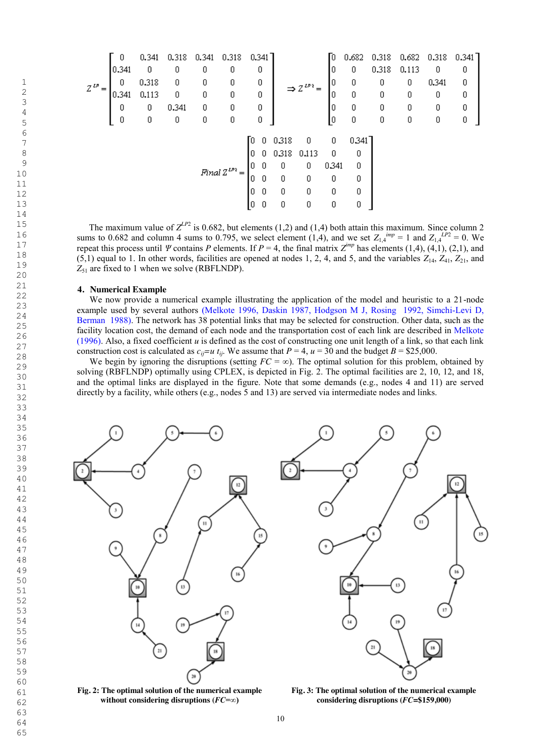$$
Z^{LP} = \begin{bmatrix}\n0 & 0.341 & 0.318 & 0.341 & 0.318 & 0.341 \\
0.341 & 0 & 0 & 0 & 0 & 0 \\
0.341 & 0.113 & 0 & 0 & 0 & 0 \\
0 & 0 & 0.341 & 0 & 0 & 0 & 0 \\
0 & 0 & 0 & 0 & 0 & 0 & 0\n\end{bmatrix}\n\implies Z^{LP} = \begin{bmatrix}\n0 & 0.682 & 0.318 & 0.682 & 0.318 & 0.341 \\
0 & 0 & 0.318 & 0.113 & 0 & 0 \\
0 & 0 & 0 & 0 & 0 & 0 \\
0 & 0 & 0 & 0 & 0 & 0 \\
0 & 0 & 0 & 0 & 0 & 0\n\end{bmatrix}
$$
\nFinally,  $Z^{LP} = \begin{bmatrix}\n0 & 0 & 0.318 & 0 & 0 & 0.318 & 0.411 \\
0 & 0 & 0 & 0 & 0 & 0 & 0 \\
0 & 0 & 0 & 0 & 0 & 0 & 0 \\
0 & 0 & 0 & 0 & 0 & 0 & 0 \\
0 & 0 & 0 & 0 & 0 & 0 & 0 \\
0 & 0 & 0 & 0 & 0 & 0 & 0 \\
0 & 0 & 0 & 0 & 0 & 0 & 0\n\end{bmatrix}$ 

The maximum value of  $Z^{LP2}$  is 0.682, but elements (1,2) and (1,4) both attain this maximum. Since column 2 sums to 0.682 and column 4 sums to 0.795, we select element (1,4), and we set  $Z_{1,4}^{imp} = 1$  and  $Z_{1,4}^{LP2} = 0$ . We repeat this process until *Ψ* contains *P* elements. If  $P = 4$ , the final matrix  $Z^{imp}$  has elements (1,4), (4,1), (2,1), and  $(5,1)$  equal to 1. In other words, facilities are opened at nodes 1, 2, 4, and 5, and the variables  $Z_{14}$ ,  $Z_{41}$ ,  $Z_{21}$ , and *Z*<sup>51</sup> are fixed to 1 when we solve (RBFLNDP).

# **4. Numerical Example**

We now provide a numerical example illustrating the application of the model and heuristic to a 21-node example used by several authors (Melkote 1996, Daskin 1987, Hodgson M J, Rosing 1992, Simchi-Levi D, Berman 1988). The network has 38 potential links that may be selected for construction. Other data, such as the facility location cost, the demand of each node and the transportation cost of each link are described in Melkote (1996). Also, a fixed coefficient *u* is defined as the cost of constructing one unit length of a link, so that each link construction cost is calculated as  $c_{ij}=u t_{ij}$ . We assume that  $P = 4$ ,  $u = 30$  and the budget  $B = $25,000$ .

We begin by ignoring the disruptions (setting  $FC = \infty$ ). The optimal solution for this problem, obtained by solving (RBFLNDP) optimally using CPLEX, is depicted in Fig. 2. The optimal facilities are 2, 10, 12, and 18, and the optimal links are displayed in the figure. Note that some demands (e.g., nodes 4 and 11) are served directly by a facility, while others (e.g., nodes 5 and 13) are served via intermediate nodes and links.



**Fig. 2: The optimal solution of the numerical example without considering disruptions (***FC***=∞)**

**Fig. 3: The optimal solution of the numerical example considering disruptions (***FC***=\$159,000)**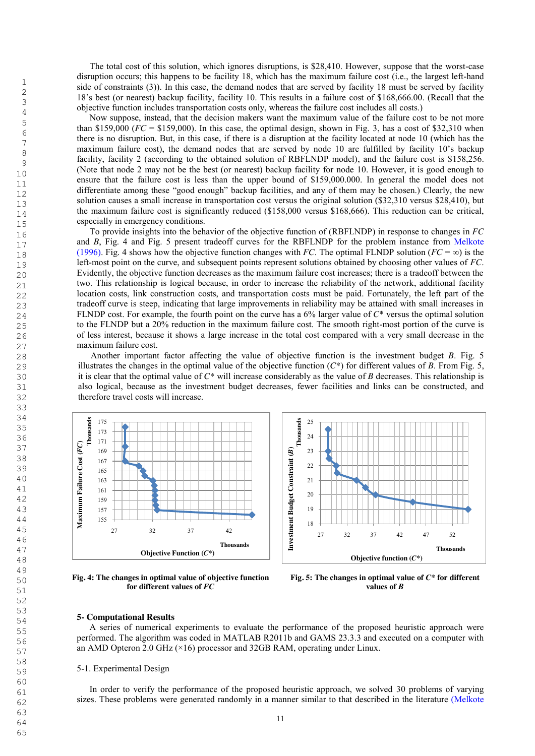The total cost of this solution, which ignores disruptions, is \$28,410. However, suppose that the worst-case disruption occurs; this happens to be facility 18, which has the maximum failure cost (i.e., the largest left-hand side of constraints (3)). In this case, the demand nodes that are served by facility 18 must be served by facility 18's best (or nearest) backup facility, facility 10. This results in a failure cost of \$168,666.00. (Recall that the objective function includes transportation costs only, whereas the failure cost includes all costs.)

Now suppose, instead, that the decision makers want the maximum value of the failure cost to be not more than \$159,000 ( $FC = $159,000$ ). In this case, the optimal design, shown in Fig. 3, has a cost of \$32,310 when there is no disruption. But, in this case, if there is a disruption at the facility located at node 10 (which has the maximum failure cost), the demand nodes that are served by node 10 are fulfilled by facility 10's backup facility, facility 2 (according to the obtained solution of RBFLNDP model), and the failure cost is \$158,256. (Note that node 2 may not be the best (or nearest) backup facility for node 10. However, it is good enough to ensure that the failure cost is less than the upper bound of \$159,000.000. In general the model does not differentiate among these "good enough" backup facilities, and any of them may be chosen.) Clearly, the new solution causes a small increase in transportation cost versus the original solution (\$32,310 versus \$28,410), but the maximum failure cost is significantly reduced (\$158,000 versus \$168,666). This reduction can be critical, especially in emergency conditions.

To provide insights into the behavior of the objective function of (RBFLNDP) in response to changes in *FC* and *B*, Fig. 4 and Fig. 5 present tradeoff curves for the RBFLNDP for the problem instance from Melkote (1996). Fig. 4 shows how the objective function changes with *FC*. The optimal FLNDP solution ( $FC = \infty$ ) is the left-most point on the curve, and subsequent points represent solutions obtained by choosing other values of *FC*. Evidently, the objective function decreases as the maximum failure cost increases; there is a tradeoff between the two. This relationship is logical because, in order to increase the reliability of the network, additional facility location costs, link construction costs, and transportation costs must be paid. Fortunately, the left part of the tradeoff curve is steep, indicating that large improvements in reliability may be attained with small increases in FLNDP cost. For example, the fourth point on the curve has a 6% larger value of *C*\* versus the optimal solution to the FLNDP but a 20% reduction in the maximum failure cost. The smooth right-most portion of the curve is of less interest, because it shows a large increase in the total cost compared with a very small decrease in the maximum failure cost.

Another important factor affecting the value of objective function is the investment budget *B*. Fig. 5 illustrates the changes in the optimal value of the objective function  $(C^*)$  for different values of *B*. From Fig. 5, it is clear that the optimal value of *C\** will increase considerably as the value of *B* decreases. This relationship is also logical, because as the investment budget decreases, fewer facilities and links can be constructed, and therefore travel costs will increase.



**Fig. 4: The changes in optimal value of objective function for different values of** *FC*



**Fig. 5: The changes in optimal value of** *C***\* for different values of** *B*

#### **5- Computational Results**

A series of numerical experiments to evaluate the performance of the proposed heuristic approach were performed. The algorithm was coded in MATLAB R2011b and GAMS 23.3.3 and executed on a computer with an AMD Opteron 2.0 GHz (×16) processor and 32GB RAM, operating under Linux.

## 5-1. Experimental Design

In order to verify the performance of the proposed heuristic approach, we solved 30 problems of varying sizes. These problems were generated randomly in a manner similar to that described in the literature (Melkote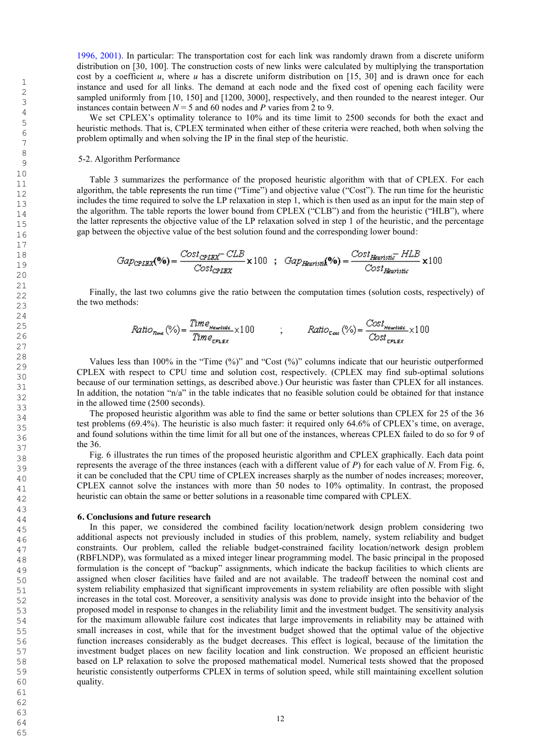1996, 2001). In particular: The transportation cost for each link was randomly drawn from a discrete uniform distribution on [30, 100]. The construction costs of new links were calculated by multiplying the transportation cost by a coefficient *u*, where *u* has a discrete uniform distribution on [15, 30] and is drawn once for each instance and used for all links. The demand at each node and the fixed cost of opening each facility were sampled uniformly from [10, 150] and [1200, 3000], respectively, and then rounded to the nearest integer. Our instances contain between  $N = 5$  and 60 nodes and  $\overline{P}$  varies from 2 to 9.

We set CPLEX's optimality tolerance to 10% and its time limit to 2500 seconds for both the exact and heuristic methods. That is, CPLEX terminated when either of these criteria were reached, both when solving the problem optimally and when solving the IP in the final step of the heuristic.

# 5-2. Algorithm Performance

Table 3 summarizes the performance of the proposed heuristic algorithm with that of CPLEX. For each algorithm, the table represents the run time ("Time") and objective value ("Cost"). The run time for the heuristic includes the time required to solve the LP relaxation in step 1, which is then used as an input for the main step of the algorithm. The table reports the lower bound from CPLEX ("CLB") and from the heuristic ("HLB"), where the latter represents the objective value of the LP relaxation solved in step 1 of the heuristic, and the percentage gap between the objective value of the best solution found and the corresponding lower bound:

$$
Gap_{CPIZX}(96) = \frac{Cost_{CPIZX} - CLB}{Cost_{CPIZX}} \times 100 \quad ; \quad Gap_{Euvish}(96) = \frac{Cost_{Euvishic} + HLB}{Cost_{Euvishic}} \times 100
$$

Finally, the last two columns give the ratio between the computation times (solution costs, respectively) of the two methods:

$$
Ratio_{nme} (\%) = \frac{Time_{Heurlable}}{Time_{cPLEX}} \times 100 \qquad ; \qquad Ratio_{cou} (\%) = \frac{Cost_{Heurlable}}{Cost_{cPLEX}} \times 100
$$

Values less than 100% in the "Time (%)" and "Cost (%)" columns indicate that our heuristic outperformed CPLEX with respect to CPU time and solution cost, respectively. (CPLEX may find sub-optimal solutions because of our termination settings, as described above.) Our heuristic was faster than CPLEX for all instances. In addition, the notation "n/a" in the table indicates that no feasible solution could be obtained for that instance in the allowed time (2500 seconds).

The proposed heuristic algorithm was able to find the same or better solutions than CPLEX for 25 of the 36 test problems (69.4%). The heuristic is also much faster: it required only 64.6% of CPLEX's time, on average, and found solutions within the time limit for all but one of the instances, whereas CPLEX failed to do so for 9 of the 36.

Fig. 6 illustrates the run times of the proposed heuristic algorithm and CPLEX graphically. Each data point represents the average of the three instances (each with a different value of *P*) for each value of *N*. From Fig. 6, it can be concluded that the CPU time of CPLEX increases sharply as the number of nodes increases; moreover, CPLEX cannot solve the instances with more than 50 nodes to 10% optimality. In contrast, the proposed heuristic can obtain the same or better solutions in a reasonable time compared with CPLEX.

## **6. Conclusions and future research**

In this paper, we considered the combined facility location/network design problem considering two additional aspects not previously included in studies of this problem, namely, system reliability and budget constraints. Our problem, called the reliable budget-constrained facility location/network design problem (RBFLNDP), was formulated as a mixed integer linear programming model. The basic principal in the proposed formulation is the concept of "backup" assignments, which indicate the backup facilities to which clients are assigned when closer facilities have failed and are not available. The tradeoff between the nominal cost and system reliability emphasized that significant improvements in system reliability are often possible with slight increases in the total cost. Moreover, a sensitivity analysis was done to provide insight into the behavior of the proposed model in response to changes in the reliability limit and the investment budget. The sensitivity analysis for the maximum allowable failure cost indicates that large improvements in reliability may be attained with small increases in cost, while that for the investment budget showed that the optimal value of the objective function increases considerably as the budget decreases. This effect is logical, because of the limitation the investment budget places on new facility location and link construction. We proposed an efficient heuristic based on LP relaxation to solve the proposed mathematical model. Numerical tests showed that the proposed heuristic consistently outperforms CPLEX in terms of solution speed, while still maintaining excellent solution quality.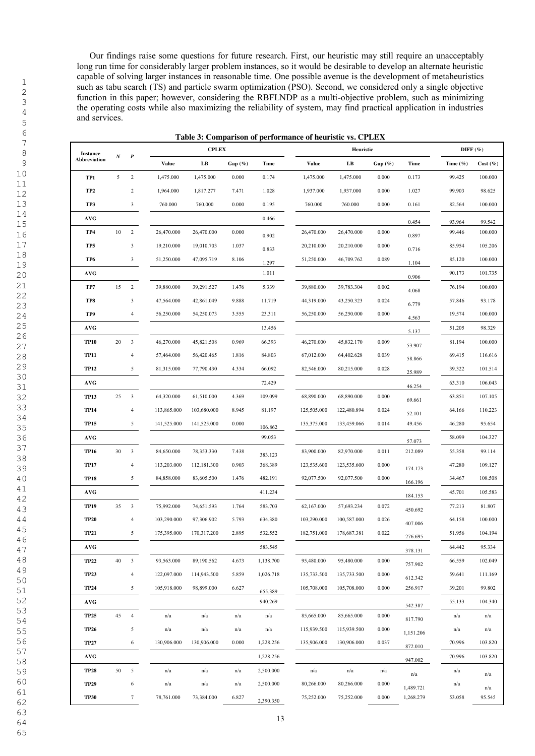Our findings raise some questions for future research. First, our heuristic may still require an unacceptably long run time for considerably larger problem instances, so it would be desirable to develop an alternate heuristic capable of solving larger instances in reasonable time. One possible avenue is the development of metaheuristics such as tabu search (TS) and particle swarm optimization (PSO). Second, we considered only a single objective function in this paper; however, considering the RBFLNDP as a multi-objective problem, such as minimizing the operating costs while also maximizing the reliability of system, may find practical application in industries and services.

|                                 |          |                |              |                        |            |             | Table 3: Comparison of performance of heuristic vs. CPLEX |             |            |             |              |             |
|---------------------------------|----------|----------------|--------------|------------------------|------------|-------------|-----------------------------------------------------------|-------------|------------|-------------|--------------|-------------|
| <b>Instance</b><br>Abbreviation | $\cal N$ |                |              | <b>CPLEX</b>           |            |             | Heuristic                                                 |             |            |             | DIFF $(\%)$  |             |
|                                 |          | $\pmb{P}$      | <b>Value</b> | $\mathbf{L}\mathbf{B}$ | Gap $(\%)$ | <b>Time</b> | <b>Value</b>                                              | LB          | Gap $(\%)$ | <b>Time</b> | Time $(\% )$ | Cost $(\%)$ |
| TP1                             | 5        | $\sqrt{2}$     | 1,475.000    | 1,475.000              | 0.000      | 0.174       | 1,475.000                                                 | 1,475.000   | 0.000      | 0.173       | 99.425       | 100.000     |
| TP <sub>2</sub>                 |          | $\sqrt{2}$     | 1,964.000    | 1,817.277              | 7.471      | 1.028       | 1,937.000                                                 | 1,937.000   | 0.000      | 1.027       | 99.903       | 98.625      |
| TP3                             |          | 3              | 760.000      | 760.000                | 0.000      | 0.195       | 760.000                                                   | 760.000     | 0.000      | 0.161       | 82.564       | 100.000     |
| <b>AVG</b>                      |          |                |              |                        |            | 0.466       |                                                           |             |            | 0.454       | 93.964       | 99.542      |
| TP4                             | 10       | $\overline{c}$ | 26,470.000   | 26,470.000             | 0.000      | 0.902       | 26,470.000                                                | 26,470.000  | 0.000      | 0.897       | 99.446       | 100.000     |
| TP5                             |          | $\mathbf{3}$   | 19,210.000   | 19,010.703             | 1.037      | 0.833       | 20,210.000                                                | 20,210.000  | 0.000      | 0.716       | 85.954       | 105.206     |
| TP6                             |          | 3              | 51,250.000   | 47,095.719             | 8.106      | 1.297       | 51,250.000                                                | 46,709.762  | 0.089      | 1.104       | 85.120       | 100.000     |
| <b>AVG</b>                      |          |                |              |                        |            | 1.011       |                                                           |             |            | 0.906       | 90.173       | 101.735     |
| TP7                             | 15       | $\overline{c}$ | 39,880.000   | 39,291.527             | 1.476      | 5.339       | 39,880.000                                                | 39,783.304  | 0.002      | 4.068       | 76.194       | 100.000     |
| TP8                             |          | 3              | 47,564.000   | 42,861.049             | 9.888      | 11.719      | 44,319.000                                                | 43,250.323  | 0.024      | 6.779       | 57.846       | 93.178      |
| TP9                             |          | $\overline{4}$ | 56,250.000   | 54,250.073             | 3.555      | 23.311      | 56,250.000                                                | 56,250.000  | 0.000      | 4.563       | 19.574       | 100.000     |
| <b>AVG</b>                      |          |                |              |                        |            | 13.456      |                                                           |             |            | 5.137       | 51.205       | 98.329      |
| <b>TP10</b>                     | 20       | $\mathbf{3}$   | 46,270.000   | 45,821.508             | 0.969      | 66.393      | 46,270.000                                                | 45,832.170  | 0.009      | 53.907      | 81.194       | 100.000     |
| <b>TP11</b>                     |          | $\overline{4}$ | 57,464.000   | 56,420.465             | 1.816      | 84.803      | 67,012.000                                                | 64,402.628  | 0.039      | 58.866      | 69.415       | 116.616     |
| <b>TP12</b>                     |          | 5              | 81,315.000   | 77,790.430             | 4.334      | 66.092      | 82,546.000                                                | 80,215.000  | 0.028      | 25.989      | 39.322       | 101.514     |
| <b>AVG</b>                      |          |                |              |                        |            | 72.429      |                                                           |             |            | 46.254      | 63.310       | 106.043     |
| <b>TP13</b>                     | 25       | $\mathbf{3}$   | 64,320.000   | 61,510.000             | 4.369      | 109.099     | 68,890.000                                                | 68,890.000  | 0.000      | 69.661      | 63.851       | 107.105     |
| <b>TP14</b>                     |          | $\overline{4}$ | 113,865.000  | 103,680.000            | 8.945      | 81.197      | 125,505.000                                               | 122,480.894 | 0.024      | 52.101      | 64.166       | 110.223     |
| <b>TP15</b>                     |          | 5              | 141,525.000  | 141,525.000            | 0.000      | 106.862     | 135,375.000                                               | 133,459.066 | 0.014      | 49.456      | 46.280       | 95.654      |
| <b>AVG</b>                      |          |                |              |                        |            | 99.053      |                                                           |             |            | 57.073      | 58.099       | 104.327     |
| <b>TP16</b>                     | 30       | $\mathbf{3}$   | 84,650.000   | 78,353.330             | 7.438      | 383.123     | 83,900.000                                                | 82,970.000  | 0.011      | 212.089     | 55.358       | 99.114      |
| <b>TP17</b>                     |          | $\overline{4}$ | 113,203.000  | 112,181.300            | 0.903      | 368.389     | 123,535.600                                               | 123,535.600 | 0.000      | 174.173     | 47.280       | 109.127     |
| <b>TP18</b>                     |          | 5              | 84,858.000   | 83,605.500             | 1.476      | 482.191     | 92,077.500                                                | 92,077.500  | 0.000      | 166.196     | 34.467       | 108.508     |
| <b>AVG</b>                      |          |                |              |                        |            | 411.234     |                                                           |             |            | 184.153     | 45.701       | 105.583     |
| <b>TP19</b>                     | 35       | $\mathfrak{Z}$ | 75,992.000   | 74,651.593             | 1.764      | 583.703     | 62,167.000                                                | 57,693.234  | 0.072      | 450.692     | 77.213       | 81.807      |
| <b>TP20</b>                     |          | $\overline{4}$ | 103,290.000  | 97,306.902             | 5.793      | 634.380     | 103,290.000                                               | 100,587.000 | 0.026      | 407.006     | 64.158       | 100.000     |
| TP21                            |          | 5              | 175,395.000  | 170,317.200            | 2.895      | 532.552     | 182,751.000                                               | 178,687.381 | 0.022      | 276.695     | 51.956       | 104.194     |
| AVG                             |          |                |              |                        |            | 583.545     |                                                           |             |            | 378.131     | 64.442       | 95.334      |
| <b>TP22</b>                     | 40       | $\mathbf{3}$   | 93,563.000   | 89,190.562             | 4.673      | 1,138.700   | 95,480.000                                                | 95,480.000  | 0.000      | 757.902     | 66.559       | 102.049     |
| <b>TP23</b>                     |          | $\overline{4}$ | 122,097.000  | 114,943.500            | 5.859      | 1,026.718   | 135,733.500                                               | 135,733.500 | 0.000      | 612.342     | 59.641       | 111.169     |
| <b>TP24</b>                     |          | 5              | 105,918.000  | 98,899.000             | 6.627      | 655.389     | 105,708.000                                               | 105,708.000 | 0.000      | 256.917     | 39.201       | 99.802      |
| AVG                             |          |                |              |                        |            | 940.269     |                                                           |             |            | 542.387     | 55.133       | 104.340     |
| <b>TP25</b>                     | 45       | $\overline{4}$ | n/a          | n/a                    | n/a        | n/a         | 85,665.000                                                | 85,665.000  | 0.000      | 817.790     | n/a          | n/a         |
| <b>TP26</b>                     |          | 5              | n/a          | n/a                    | n/a        | n/a         | 115,939.500                                               | 115,939.500 | 0.000      | 1,151.206   | n/a          | n/a         |
| <b>TP27</b>                     |          | 6              | 130,906.000  | 130,906.000            | 0.000      | 1,228.256   | 135,906.000                                               | 130,906.000 | 0.037      | 872.010     | 70.996       | 103.820     |
| <b>AVG</b>                      |          |                |              |                        |            | 1,228.256   |                                                           |             |            | 947.002     | 70.996       | 103.820     |
| <b>TP28</b>                     | 50       | 5              | n/a          | n/a                    | n/a        | 2,500.000   | n/a                                                       | n/a         | n/a        | n/a         | n/a          | n/a         |
| <b>TP29</b>                     |          | $\sqrt{6}$     | n/a          | n/a                    | n/a        | 2,500.000   | 80,266.000                                                | 80,266.000  | 0.000      | 1,489.721   | n/a          | n/a         |
| <b>TP30</b>                     |          | 7              | 78,761.000   | 73,384.000             | 6.827      | 2,390.350   | 75,252.000                                                | 75,252.000  | 0.000      | 1,268.279   | 53.058       | 95.545      |
|                                 |          |                |              |                        |            |             |                                                           |             |            |             |              |             |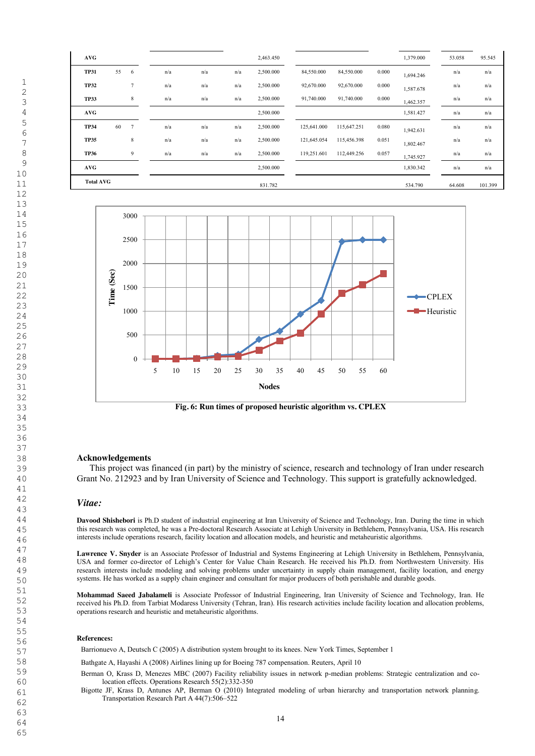| AVG              |    |   |     |     |     | 2,463.450 |             |             |       | 1,379.000 | 53.058 | 95.545  |
|------------------|----|---|-----|-----|-----|-----------|-------------|-------------|-------|-----------|--------|---------|
| <b>TP31</b>      | 55 | 6 | n/a | n/a | n/a | 2,500.000 | 84,550.000  | 84,550.000  | 0.000 | 1,694.246 | n/a    | n/a     |
| <b>TP32</b>      |    | 7 | n/a | n/a | n/a | 2,500.000 | 92,670.000  | 92,670.000  | 0.000 | 1,587.678 | n/a    | n/a     |
| <b>TP33</b>      |    | 8 | n/a | n/a | n/a | 2,500.000 | 91,740.000  | 91,740.000  | 0.000 | 1,462.357 | n/a    | n/a     |
| AVG              |    |   |     |     |     | 2,500.000 |             |             |       | 1,581.427 | n/a    | n/a     |
| <b>TP34</b>      | 60 |   | n/a | n/a | n/a | 2,500.000 | 125,641.000 | 115,647.251 | 0.080 | 1,942.631 | n/a    | n/a     |
| <b>TP35</b>      |    | 8 | n/a | n/a | n/a | 2,500.000 | 121,645.054 | 115,456.398 | 0.051 | 1,802.467 | n/a    | n/a     |
| <b>TP36</b>      |    | 9 | n/a | n/a | n/a | 2,500.000 | 119,251.601 | 112,449.256 | 0.057 | 1,745.927 | n/a    | n/a     |
| AVG              |    |   |     |     |     | 2,500.000 |             |             |       | 1,830.342 | n/a    | n/a     |
| <b>Total AVG</b> |    |   |     |     |     | 831.782   |             |             |       | 534.790   | 64.608 | 101.399 |



**Fig. 6: Run times of proposed heuristic algorithm vs. CPLEX**

## **Acknowledgements**

This project was financed (in part) by the ministry of science, research and technology of Iran under research Grant No. 212923 and by Iran University of Science and Technology. This support is gratefully acknowledged.

## *Vitae:*

**Davood Shishebori** is Ph.D student of industrial engineering at Iran University of Science and Technology, Iran. During the time in which this research was completed, he was a Pre-doctoral Research Associate at Lehigh University in Bethlehem, Pennsylvania, USA. His research interests include operations research, facility location and allocation models, and heuristic and metaheuristic algorithms.

**Lawrence V. Snyder** is an Associate Professor of Industrial and Systems Engineering at Lehigh University in Bethlehem, Pennsylvania, USA and former co-director of Lehigh's Center for Value Chain Research. He received his Ph.D. from Northwestern University. His research interests include modeling and solving problems under uncertainty in supply chain management, facility location, and energy systems. He has worked as a supply chain engineer and consultant for major producers of both perishable and durable goods.

**Mohammad Saeed Jabalameli** is Associate Professor of Industrial Engineering, Iran University of Science and Technology, Iran. He received his Ph.D. from Tarbiat Modaress University (Tehran, Iran). His research activities include facility location and allocation problems, operations research and heuristic and metaheuristic algorithms.

#### **References:**

Barrionuevo A, Deutsch C (2005) A distribution system brought to its knees. New York Times, September 1

Bathgate A, Hayashi A (2008) Airlines lining up for Boeing 787 compensation. Reuters, April 10

- Berman O, Krass D, Menezes MBC (2007) Facility reliability issues in network p-median problems: Strategic centralization and colocation effects. Operations Research 55(2):332-350
- Bigotte JF, Krass D, Antunes AP, Berman O (2010) Integrated modeling of urban hierarchy and transportation network planning. Transportation Research Part A 44(7):506–522